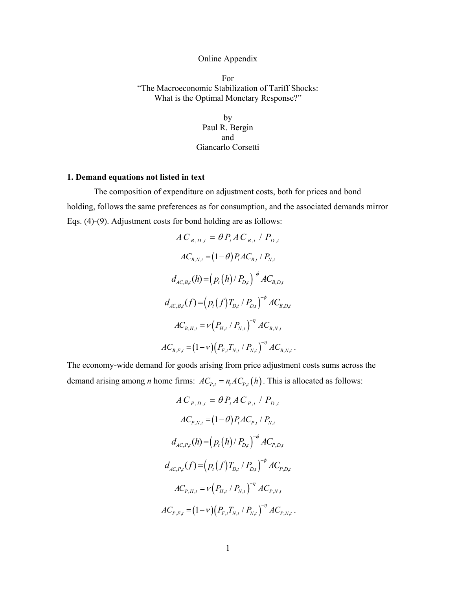## Online Appendix

For "The Macroeconomic Stabilization of Tariff Shocks: What is the Optimal Monetary Response?"

> by Paul R. Bergin and Giancarlo Corsetti

## **1. Demand equations not listed in text**

The composition of expenditure on adjustment costs, both for prices and bond holding, follows the same preferences as for consumption, and the associated demands mirror Eqs. (4)-(9). Adjustment costs for bond holding are as follows:

$$
AC_{B,D,t} = \theta P_t AC_{B,t} / P_{D,t}
$$
  
\n
$$
AC_{B,N,t} = (1-\theta) P_t AC_{B,t} / P_{N,t}
$$
  
\n
$$
d_{AC,B,t}(h) = (p_t(h) / P_{D,t})^{-\phi} AC_{B,D,t}
$$
  
\n
$$
d_{AC,B,t}(f) = (p_t(f) T_{D,t} / P_{D,t})^{-\phi} AC_{B,D,t}
$$
  
\n
$$
AC_{B,H,t} = v(P_{H,t} / P_{N,t})^{-\eta} AC_{B,N,t}
$$
  
\n
$$
AC_{B,F,t} = (1-v)(P_{F,t} T_{N,t} / P_{N,t})^{-\eta} AC_{B,N,t}.
$$

The economy-wide demand for goods arising from price adjustment costs sums across the demand arising among *n* home firms:  $AC_{p,t} = n_t AC_{p,t} (h)$ . This is allocated as follows:

$$
AC_{P,D,t} = \theta P_t AC_{P,t} / P_{D,t}
$$
  
\n
$$
AC_{P,N,t} = (1-\theta) P_t AC_{P,t} / P_{N,t}
$$
  
\n
$$
d_{AC,P,t}(h) = (p_t(h) / P_{D,t})^{-\phi} AC_{P,D,t}
$$
  
\n
$$
d_{AC,P,t}(f) = (p_t(f) T_{D,t} / P_{D,t})^{-\phi} AC_{P,D,t}
$$
  
\n
$$
AC_{P,H,t} = v(P_{H,t} / P_{N,t})^{-\eta} AC_{P,N,t}
$$
  
\n
$$
AC_{P,F,t} = (1-v)(P_{F,t} T_{N,t} / P_{N,t})^{-\eta} AC_{P,N,t}.
$$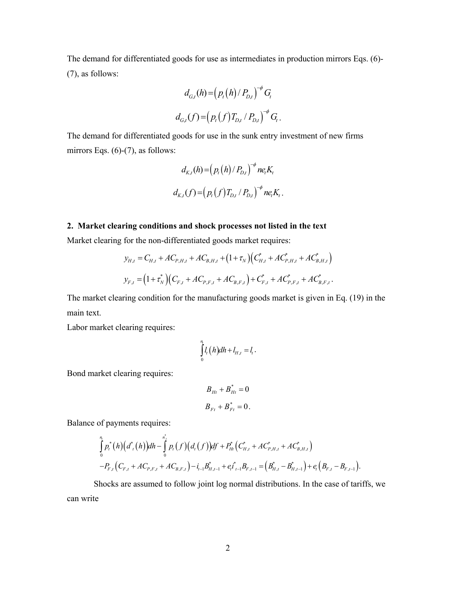The demand for differentiated goods for use as intermediates in production mirrors Eqs. (6)- (7), as follows:

$$
d_{G,t}(h) = (p_t(h)/P_{D,t})^{-\phi} G_t
$$
  

$$
d_{G,t}(f) = (p_t(f)T_{D,t}/P_{D,t})^{-\phi} G_t.
$$

The demand for differentiated goods for use in the sunk entry investment of new firms mirrors Eqs.  $(6)-(7)$ , as follows:

$$
d_{K,t}(h) = (p_t(h)/P_{D,t})^{-\phi} n e_t K_t
$$
  

$$
d_{K,t}(f) = (p_t(f) T_{D,t}/P_{D,t})^{-\phi} n e_t K_t.
$$

# **2. Market clearing conditions and shock processes not listed in the text**

Market clearing for the non-differentiated goods market requires:

$$
y_{H,t} = C_{H,t} + AC_{P,H,t} + AC_{B,H,t} + (1 + \tau_N) \Big( C_{H,t}^* + AC_{P,H,t}^* + AC_{B,H,t}^* \Big)
$$
  

$$
y_{F,t} = (1 + \tau_N^*) \Big( C_{F,t} + AC_{P,F,t} + AC_{B,F,t} \Big) + C_{F,t}^* + AC_{P,F,t}^* + AC_{B,F,t}^*.
$$

The market clearing condition for the manufacturing goods market is given in Eq. (19) in the main text.

Labor market clearing requires:

$$
\int\limits_{0}^{n_i} l_i(h)dh + l_{H,t} = l_i.
$$

Bond market clearing requires:

$$
B_{Ht} + B_{Ht}^{*} = 0
$$
  

$$
B_{Ft} + B_{Ft}^{*} = 0.
$$

Balance of payments requires:

$$
\int_{0}^{n_{i}} p_{i}^{*}(h) \big(d_{i}^{*}(h)\big)dh - \int_{0}^{n_{i}} p_{i}\big(f\big)\big(d_{i}\big(f\big)\big)df + P_{Hi}^{*}\big(C_{H,t}^{*} + AC_{P,H,t}^{*} + AC_{B,H,t}^{*}\big) - P_{F,t}\big(C_{F,t} + AC_{P,F,t} + AC_{B,F,t}\big) - i_{t-1}B_{H,t-1}^{*} + e_{t}i_{t-1}^{*}B_{F,t-1} = \big(B_{H,t}^{*} - B_{H,t-1}^{*}\big) + e_{t}\big(B_{F,t} - B_{F,t-1}\big).
$$

 Shocks are assumed to follow joint log normal distributions. In the case of tariffs, we can write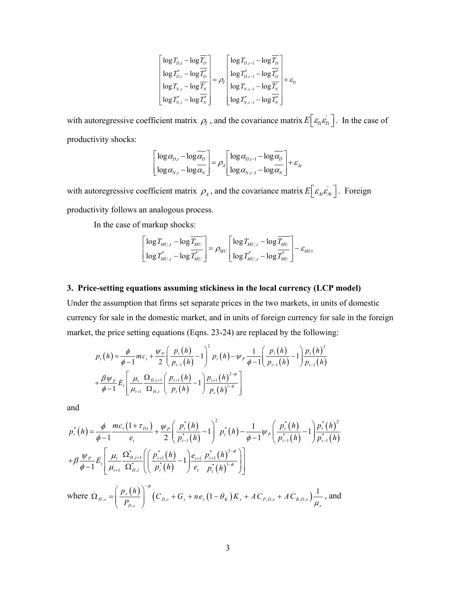$$
\begin{bmatrix} \log T_{D,t} - \log \overline{T_D} \\ \log T_{D,t}^* - \log \overline{T_D^*} \\ \log T_{N,t} - \log \overline{T_N} \\ \log T_{N,t}^* - \log \overline{T_N^*} \end{bmatrix} = \rho_r \begin{bmatrix} \log T_{D,t-1} - \log \overline{T_D} \\ \log T_{D,t-1}^* - \log \overline{T_D^*} \\ \log T_{N,t-1} - \log \overline{T_N} \\ \log T_{N,t-1}^* - \log \overline{T_N^*} \end{bmatrix} + \varepsilon_{Tr}
$$

with autoregressive coefficient matrix  $\rho_r$ , and the covariance matrix  $E\left[\varepsilon_n \varepsilon_n\right]$ . In the case of productivity shocks:

$$
\begin{bmatrix} \log \alpha_{D,t} - \log \overline{\alpha_D} \\ \log \alpha_{N,t} - \log \overline{\alpha_N} \end{bmatrix} = \rho_A \begin{bmatrix} \log \alpha_{D,t-1} - \log \overline{\alpha_D} \\ \log \alpha_{N,t-1} - \log \overline{\alpha_N} \end{bmatrix} + \varepsilon_{At}
$$

with autoregressive coefficient matrix  $\rho_A$ , and the covariance matrix  $E\left[\varepsilon_{A} \varepsilon'_{At}\right]$ . Foreign productivity follows an analogous process.

In the case of markup shocks:

$$
\begin{bmatrix} \log T_{M U,t} - \log \overline{T_{M U}} \\ \log T_{M U,t}^* - \log \overline{T_{M U}^*} \end{bmatrix} = \rho_{M U} \begin{bmatrix} \log T_{M U,t} - \log \overline{T_{M U}} \\ \log T_{M U,t}^* - \log \overline{T_{M U}^*} \end{bmatrix} - \varepsilon_{M U t}
$$

# **3. Price-setting equations assuming stickiness in the local currency (LCP model)**

Under the assumption that firms set separate prices in the two markets, in units of domestic currency for sale in the domestic market, and in units of foreign currency for sale in the foreign market, the price setting equations (Eqns. 23-24) are replaced by the following:

$$
p_{t}(h) = \frac{\phi}{\phi - 1} m c_{t} + \frac{\psi_{P}}{2} \left( \frac{p_{t}(h)}{p_{t-1}(h)} - 1 \right)^{2} p_{t}(h) - \psi_{P} \frac{1}{\phi - 1} \left( \frac{p_{t}(h)}{p_{t-1}(h)} - 1 \right) \frac{p_{t}(h)^{2}}{p_{t-1}(h)}
$$

$$
+ \frac{\beta \psi_{P}}{\phi - 1} E_{t} \left[ \frac{\mu_{t}}{\mu_{t+1}} \frac{\Omega_{H,t+1}}{\Omega_{H,t}} \left( \frac{p_{t+1}(h)}{p_{t}(h)} - 1 \right) \frac{p_{t+1}(h)^{2-\phi}}{p_{t}(h)^{1-\phi}} \right]
$$

and

$$
p_{t}^{*}(h) = \frac{\phi}{\phi - 1} \frac{mc_{t}(1 + \tau_{D_{t}})}{e_{t}} + \frac{\psi_{P}}{2} \left( \frac{p_{t}^{*}(h)}{p_{t-1}^{*}(h)} - 1 \right)^{2} p_{t}^{*}(h) - \frac{1}{\phi - 1} \psi_{P} \left( \frac{p_{t}^{*}(h)}{p_{t-1}^{*}(h)} - 1 \right) \frac{p_{t}^{*}(h)^{2}}{p_{t-1}^{*}(h)}
$$
  
+  $\beta \frac{\psi_{P}}{\phi - 1} E_{t} \left[ \frac{\mu_{t}}{\mu_{t+1}} \frac{\Omega_{H,t+1}^{*}}{\Omega_{H,t}^{*}} \left( \left( \frac{p_{t+1}^{*}(h)}{p_{t}^{*}(h)} - 1 \right) \frac{e_{t+1}}{e_{t}} \frac{p_{t+1}^{*}(h)^{2-\phi}}{p_{t}^{*}(h)^{1-\phi}} \right) \right]$   
where  $\Omega_{H,s} = \left( \frac{p_{s}(h)}{P_{D,s}} \right)^{-\phi} \left( C_{D,s} + G_{s} + ne_{s} (1 - \theta_{K}) K_{s} + AC_{P,D,s} + AC_{B,D,s} \right) \frac{1}{\mu_{s}}$ , and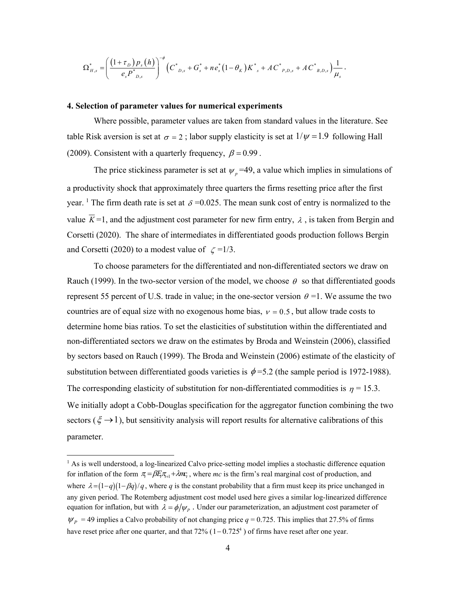$$
\Omega_{H,s}^* = \left(\frac{(1+\tau_{D})p_s(h)}{e_s P_{D,s}^*}\right)^{-\phi} \left(C_{D,s}^* + G_s^* + n e_s^* (1-\theta_K)K_{s}^* + A C_{P,D,s}^* + A C_{B,D,s}^* \right) \frac{1}{\mu_s}.
$$

## **4. Selection of parameter values for numerical experiments**

Where possible, parameter values are taken from standard values in the literature. See table Risk aversion is set at  $\sigma = 2$ ; labor supply elasticity is set at  $1/\psi = 1.9$  following Hall (2009). Consistent with a quarterly frequency,  $\beta = 0.99$ .

The price stickiness parameter is set at  $\psi_p$ =49, a value which implies in simulations of a productivity shock that approximately three quarters the firms resetting price after the first year. <sup>1</sup> The firm death rate is set at  $\delta = 0.025$ . The mean sunk cost of entry is normalized to the value  $K=1$ , and the adjustment cost parameter for new firm entry,  $\lambda$ , is taken from Bergin and Corsetti (2020). The share of intermediates in differentiated goods production follows Bergin and Corsetti (2020) to a modest value of  $\zeta = 1/3$ .

To choose parameters for the differentiated and non-differentiated sectors we draw on Rauch (1999). In the two-sector version of the model, we choose  $\theta$  so that differentiated goods represent 55 percent of U.S. trade in value; in the one-sector version  $\theta =1$ . We assume the two countries are of equal size with no exogenous home bias,  $v = 0.5$ , but allow trade costs to determine home bias ratios. To set the elasticities of substitution within the differentiated and non-differentiated sectors we draw on the estimates by Broda and Weinstein (2006), classified by sectors based on Rauch (1999). The Broda and Weinstein (2006) estimate of the elasticity of substitution between differentiated goods varieties is  $\phi$  =5.2 (the sample period is 1972-1988). The corresponding elasticity of substitution for non-differentiated commodities is  $\eta = 15.3$ . We initially adopt a Cobb-Douglas specification for the aggregator function combining the two sectors ( $\xi \rightarrow 1$ ), but sensitivity analysis will report results for alternative calibrations of this parameter.

 1 As is well understood, a log-linearized Calvo price-setting model implies a stochastic difference equation for inflation of the form  $\pi = \beta E_i \pi_{H} + \lambda m_i$ , where *mc* is the firm's real marginal cost of production, and where  $\lambda = (1-q)(1-\beta q)/q$ , where q is the constant probability that a firm must keep its price unchanged in any given period. The Rotemberg adjustment cost model used here gives a similar log-linearized difference equation for inflation, but with  $\lambda = \phi/\psi_{P}$ . Under our parameterization, an adjustment cost parameter of  $\psi_p$  = 49 implies a Calvo probability of not changing price *q* = 0.725. This implies that 27.5% of firms have reset price after one quarter, and that  $72\%$  ( $1-0.725<sup>4</sup>$ ) of firms have reset after one year.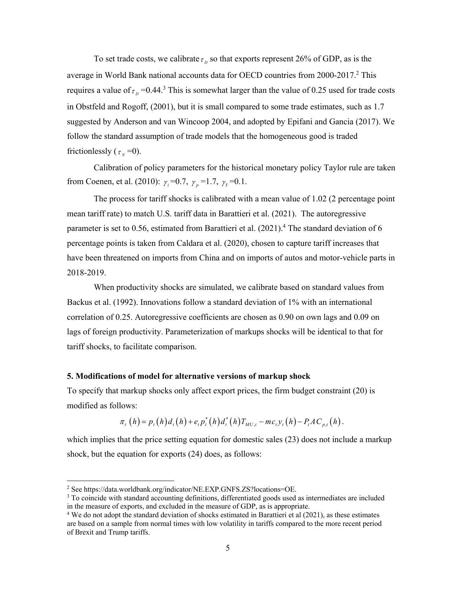To set trade costs, we calibrate  $\tau_p$  so that exports represent 26% of GDP, as is the average in World Bank national accounts data for OECD countries from 2000-2017.<sup>2</sup> This requires a value of  $\tau_p$  =0.44.<sup>3</sup> This is somewhat larger than the value of 0.25 used for trade costs in Obstfeld and Rogoff, (2001), but it is small compared to some trade estimates, such as 1.7 suggested by Anderson and van Wincoop 2004, and adopted by Epifani and Gancia (2017). We follow the standard assumption of trade models that the homogeneous good is traded frictionlessly ( $\tau_{N}$  =0).

Calibration of policy parameters for the historical monetary policy Taylor rule are taken from Coenen, et al. (2010):  $\gamma_i = 0.7$ ,  $\gamma_p = 1.7$ ,  $\gamma_r = 0.1$ .

 The process for tariff shocks is calibrated with a mean value of 1.02 (2 percentage point mean tariff rate) to match U.S. tariff data in Barattieri et al. (2021). The autoregressive parameter is set to 0.56, estimated from Barattieri et al.  $(2021)^4$  The standard deviation of 6 percentage points is taken from Caldara et al. (2020), chosen to capture tariff increases that have been threatened on imports from China and on imports of autos and motor-vehicle parts in 2018-2019.

 When productivity shocks are simulated, we calibrate based on standard values from Backus et al. (1992). Innovations follow a standard deviation of 1% with an international correlation of 0.25. Autoregressive coefficients are chosen as 0.90 on own lags and 0.09 on lags of foreign productivity. Parameterization of markups shocks will be identical to that for tariff shocks, to facilitate comparison.

#### **5. Modifications of model for alternative versions of markup shock**

To specify that markup shocks only affect export prices, the firm budget constraint (20) is modified as follows:

$$
\pi_{t}(h) = p_{t}(h)d_{t}(h) + e_{t}p_{t}^{*}(h)d_{t}^{*}(h)T_{MU,t} - mc_{t}y_{t}(h) - P_{t}AC_{p,t}(h).
$$

which implies that the price setting equation for domestic sales (23) does not include a markup shock, but the equation for exports (24) does, as follows:

 $\overline{a}$ 

<sup>&</sup>lt;sup>2</sup> See https://data.worldbank.org/indicator/NE.EXP.GNFS.ZS?locations=OE.<br><sup>3</sup> To coincide with standard accounting definitions, differentiated goods used.

 $3$  To coincide with standard accounting definitions, differentiated goods used as intermediates are included in the measure of exports, and excluded in the measure of GDP, as is appropriate. 4

<sup>&</sup>lt;sup>4</sup> We do not adopt the standard deviation of shocks estimated in Barattieri et al  $(2021)$ , as these estimates are based on a sample from normal times with low volatility in tariffs compared to the more recent period of Brexit and Trump tariffs.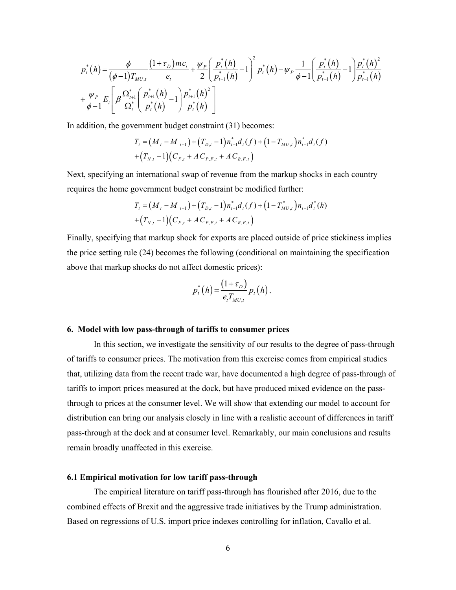$$
p_t^*(h) = \frac{\phi}{(\phi-1)T_{MU,t}} \frac{(1+\tau_D)mc_t}{e_t} + \frac{\psi_P}{2} \left(\frac{p_t^*(h)}{p_{t-1}^*(h)} - 1\right)^2 p_t^*(h) - \psi_P \frac{1}{\phi-1} \left(\frac{p_t^*(h)}{p_{t-1}^*(h)} - 1\right) \frac{p_t^*(h)^2}{p_{t-1}^*(h)} + \frac{\psi_P}{\phi-1} E_t \left[\beta \frac{\Omega_{t+1}^*}{\Omega_t^*} \left(\frac{p_{t+1}^*(h)}{p_t^*(h)} - 1\right) \frac{p_{t+1}^*(h)^2}{p_t^*(h)}\right]
$$

In addition, the government budget constraint (31) becomes:

$$
T_{t} = (M_{t} - M_{t-1}) + (T_{D,t} - 1) n_{t-1}^{*} d_{t}(f) + (1 - T_{MU,t}) n_{t-1}^{*} d_{t}(f)
$$
  
+ 
$$
(T_{N,t} - 1)(C_{F,t} + AC_{P,F,t} + AC_{B,F,t})
$$

Next, specifying an international swap of revenue from the markup shocks in each country requires the home government budget constraint be modified further:

$$
T_{t} = (M_{t} - M_{t-1}) + (T_{D,t} - 1)n_{t-1}^{*}d_{t}(f) + (1 - T_{MU,t}^{*})n_{t-1}d_{t}^{*}(h) + (T_{N,t} - 1)(C_{F,t} + AC_{P,F,t} + AC_{B,F,t})
$$

Finally, specifying that markup shock for exports are placed outside of price stickiness implies the price setting rule (24) becomes the following (conditional on maintaining the specification above that markup shocks do not affect domestic prices):

$$
p_t^*(h) = \frac{(1+\tau_D)}{e_t T_{MU,t}} p_t(h).
$$

### **6. Model with low pass-through of tariffs to consumer prices**

In this section, we investigate the sensitivity of our results to the degree of pass-through of tariffs to consumer prices. The motivation from this exercise comes from empirical studies that, utilizing data from the recent trade war, have documented a high degree of pass-through of tariffs to import prices measured at the dock, but have produced mixed evidence on the passthrough to prices at the consumer level. We will show that extending our model to account for distribution can bring our analysis closely in line with a realistic account of differences in tariff pass-through at the dock and at consumer level. Remarkably, our main conclusions and results remain broadly unaffected in this exercise.

## **6.1 Empirical motivation for low tariff pass-through**

The empirical literature on tariff pass-through has flourished after 2016, due to the combined effects of Brexit and the aggressive trade initiatives by the Trump administration. Based on regressions of U.S. import price indexes controlling for inflation, Cavallo et al.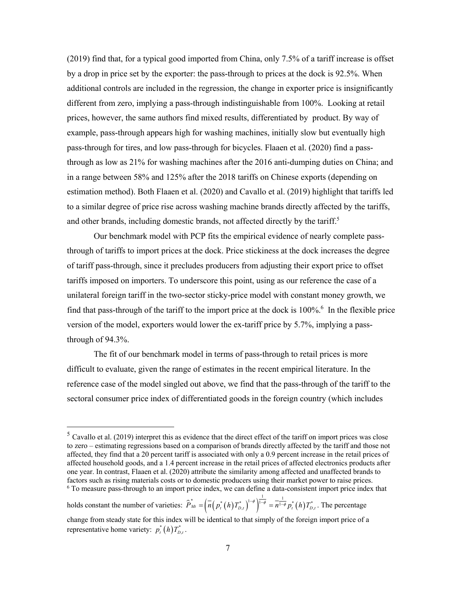(2019) find that, for a typical good imported from China, only 7.5% of a tariff increase is offset by a drop in price set by the exporter: the pass-through to prices at the dock is 92.5%. When additional controls are included in the regression, the change in exporter price is insignificantly different from zero, implying a pass-through indistinguishable from 100%. Looking at retail prices, however, the same authors find mixed results, differentiated by product. By way of example, pass-through appears high for washing machines, initially slow but eventually high pass-through for tires, and low pass-through for bicycles. Flaaen et al. (2020) find a passthrough as low as 21% for washing machines after the 2016 anti-dumping duties on China; and in a range between 58% and 125% after the 2018 tariffs on Chinese exports (depending on estimation method). Both Flaaen et al. (2020) and Cavallo et al. (2019) highlight that tariffs led to a similar degree of price rise across washing machine brands directly affected by the tariffs, and other brands, including domestic brands, not affected directly by the tariff.<sup>5</sup>

Our benchmark model with PCP fits the empirical evidence of nearly complete passthrough of tariffs to import prices at the dock. Price stickiness at the dock increases the degree of tariff pass-through, since it precludes producers from adjusting their export price to offset tariffs imposed on importers. To underscore this point, using as our reference the case of a unilateral foreign tariff in the two-sector sticky-price model with constant money growth, we find that pass-through of the tariff to the import price at the dock is  $100\%$ <sup>6</sup>. In the flexible price version of the model, exporters would lower the ex-tariff price by 5.7%, implying a passthrough of 94.3%.

The fit of our benchmark model in terms of pass-through to retail prices is more difficult to evaluate, given the range of estimates in the recent empirical literature. In the reference case of the model singled out above, we find that the pass-through of the tariff to the sectoral consumer price index of differentiated goods in the foreign country (which includes

 $\overline{a}$ 

 $<sup>5</sup>$  Cavallo et al. (2019) interpret this as evidence that the direct effect of the tariff on import prices was close</sup> to zero – estimating regressions based on a comparison of brands directly affected by the tariff and those not affected, they find that a 20 percent tariff is associated with only a 0.9 percent increase in the retail prices of affected household goods, and a 1.4 percent increase in the retail prices of affected electronics products after one year. In contrast, Flaaen et al. (2020) attribute the similarity among affected and unaffected brands to factors such as rising materials costs or to domestic producers using their market power to raise prices. 6 To measure pass-through to an import price index, we can define a data-consistent import price index that

holds constant the number of varieties:  $\hat{P}_{Mt} = \left(\overline{n}\left(p_t^*\left(h\right)T_{D,t}^*\right)^{1-\phi}\right)^{\frac{1}{1-\phi}} = \overline{n^{1-\phi}}p_t^*\left(h\right)T_{D,t}^*$ . The percentage change from steady state for this index will be identical to that simply of the foreign import price of a representative home variety:  $p_t^*(h)T_{D,t}^*$ .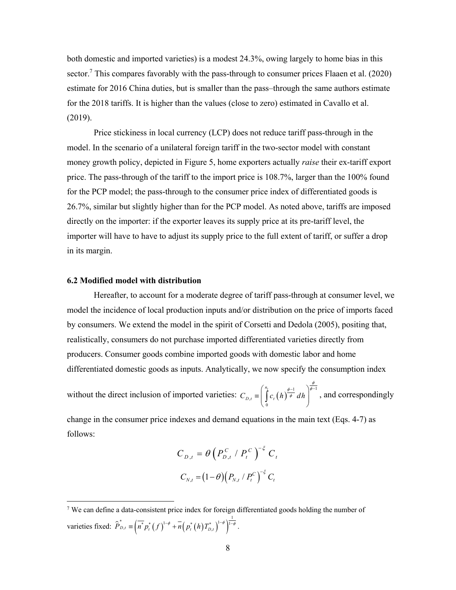both domestic and imported varieties) is a modest 24.3%, owing largely to home bias in this sector.<sup>7</sup> This compares favorably with the pass-through to consumer prices Flaaen et al. (2020) estimate for 2016 China duties, but is smaller than the pass–through the same authors estimate for the 2018 tariffs. It is higher than the values (close to zero) estimated in Cavallo et al. (2019).

Price stickiness in local currency (LCP) does not reduce tariff pass-through in the model. In the scenario of a unilateral foreign tariff in the two-sector model with constant money growth policy, depicted in Figure 5, home exporters actually *raise* their ex-tariff export price. The pass-through of the tariff to the import price is 108.7%, larger than the 100% found for the PCP model; the pass-through to the consumer price index of differentiated goods is 26.7%, similar but slightly higher than for the PCP model. As noted above, tariffs are imposed directly on the importer: if the exporter leaves its supply price at its pre-tariff level, the importer will have to have to adjust its supply price to the full extent of tariff, or suffer a drop in its margin.

#### **6.2 Modified model with distribution**

 $\overline{a}$ 

Hereafter, to account for a moderate degree of tariff pass-through at consumer level, we model the incidence of local production inputs and/or distribution on the price of imports faced by consumers. We extend the model in the spirit of Corsetti and Dedola (2005), positing that, realistically, consumers do not purchase imported differentiated varieties directly from producers. Consumer goods combine imported goods with domestic labor and home differentiated domestic goods as inputs. Analytically, we now specify the consumption index

without the direct inclusion of imported varieties:  $C_{D,t} \equiv \int_{0}^{\pi} c_t(h) \frac{\phi - 1}{\phi} dh \Big|_{0}^{\phi - 1}$  $\overline{0}$ *t n*  $C_{D,t} \equiv \int c_t(h) \overline{\phi} dh$ φ  $\phi-1$   $\phi$  $\int_{c}^{\eta_t}$   $\left(h\right)^{\frac{\phi-1}{\phi}}$  dh  $=\left(\int_{0}^{R} c_{i}(h)^{\frac{r-1}{\phi}} dh\right)$ , and correspondingly

change in the consumer price indexes and demand equations in the main text (Eqs. 4-7) as follows:

$$
C_{D,t} = \theta \left( P_{D,t}^C / P_t^C \right)^{-\xi} C_t
$$

$$
C_{N,t} = (1 - \theta) \left( P_{N,t} / P_t^C \right)^{-\xi} C_t
$$

<sup>&</sup>lt;sup>7</sup> We can define a data-consistent price index for foreign differentiated goods holding the number of varieties fixed:  $\hat{P}_{D,t}^* \equiv \left(\overline{n}^* p_t^* (f)^{1-\phi} + \overline{n} (p_t^* (h) T_{D,t}^*)^{1-\phi}\right)^{\frac{1}{1-\phi}}$ .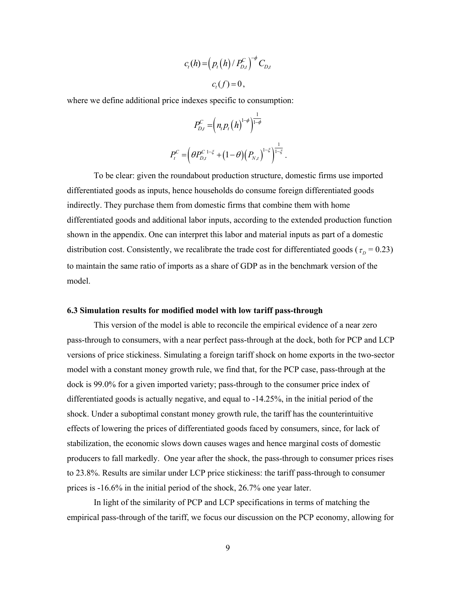$$
c_{t}(h) = \left(p_{t}(h) / P_{D,t}^{C}\right)^{-\phi} C_{D,t}
$$

$$
c_{t}(f) = 0,
$$

where we define additional price indexes specific to consumption:

$$
P^C_{D,t}=\left(n_{_t}P_t\left(h\right)^{1-\phi}\right)^{\frac{1}{1-\phi}} \nonumber\\ P^C_t=\left(\theta P^{C\,\,1-\xi}_{D,t}+\big(1-\theta\big)\big(P_{N,t}\big)^{1-\xi}\right)^{\frac{1}{1-\xi}}.
$$

To be clear: given the roundabout production structure, domestic firms use imported differentiated goods as inputs, hence households do consume foreign differentiated goods indirectly. They purchase them from domestic firms that combine them with home differentiated goods and additional labor inputs, according to the extended production function shown in the appendix. One can interpret this labor and material inputs as part of a domestic distribution cost. Consistently, we recalibrate the trade cost for differentiated goods ( $\tau_p$  = 0.23) to maintain the same ratio of imports as a share of GDP as in the benchmark version of the model.

#### **6.3 Simulation results for modified model with low tariff pass-through**

 This version of the model is able to reconcile the empirical evidence of a near zero pass-through to consumers, with a near perfect pass-through at the dock, both for PCP and LCP versions of price stickiness. Simulating a foreign tariff shock on home exports in the two-sector model with a constant money growth rule, we find that, for the PCP case, pass-through at the dock is 99.0% for a given imported variety; pass-through to the consumer price index of differentiated goods is actually negative, and equal to -14.25%, in the initial period of the shock. Under a suboptimal constant money growth rule, the tariff has the counterintuitive effects of lowering the prices of differentiated goods faced by consumers, since, for lack of stabilization, the economic slows down causes wages and hence marginal costs of domestic producers to fall markedly. One year after the shock, the pass-through to consumer prices rises to 23.8%. Results are similar under LCP price stickiness: the tariff pass-through to consumer prices is -16.6% in the initial period of the shock, 26.7% one year later.

 In light of the similarity of PCP and LCP specifications in terms of matching the empirical pass-through of the tariff, we focus our discussion on the PCP economy, allowing for

9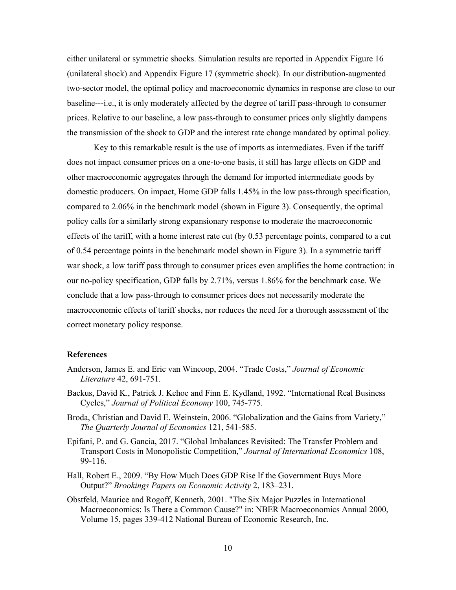either unilateral or symmetric shocks. Simulation results are reported in Appendix Figure 16 (unilateral shock) and Appendix Figure 17 (symmetric shock). In our distribution-augmented two-sector model, the optimal policy and macroeconomic dynamics in response are close to our baseline---i.e., it is only moderately affected by the degree of tariff pass-through to consumer prices. Relative to our baseline, a low pass-through to consumer prices only slightly dampens the transmission of the shock to GDP and the interest rate change mandated by optimal policy.

 Key to this remarkable result is the use of imports as intermediates. Even if the tariff does not impact consumer prices on a one-to-one basis, it still has large effects on GDP and other macroeconomic aggregates through the demand for imported intermediate goods by domestic producers. On impact, Home GDP falls 1.45% in the low pass-through specification, compared to 2.06% in the benchmark model (shown in Figure 3). Consequently, the optimal policy calls for a similarly strong expansionary response to moderate the macroeconomic effects of the tariff, with a home interest rate cut (by 0.53 percentage points, compared to a cut of 0.54 percentage points in the benchmark model shown in Figure 3). In a symmetric tariff war shock, a low tariff pass through to consumer prices even amplifies the home contraction: in our no-policy specification, GDP falls by 2.71%, versus 1.86% for the benchmark case. We conclude that a low pass-through to consumer prices does not necessarily moderate the macroeconomic effects of tariff shocks, nor reduces the need for a thorough assessment of the correct monetary policy response.

### **References**

- Anderson, James E. and Eric van Wincoop, 2004. "Trade Costs," *Journal of Economic Literature* 42, 691-751.
- Backus, David K., Patrick J. Kehoe and Finn E. Kydland, 1992. "International Real Business Cycles," *Journal of Political Economy* 100, 745-775.
- Broda, Christian and David E. Weinstein, 2006. "Globalization and the Gains from Variety," *The Quarterly Journal of Economics* 121, 541-585.
- Epifani, P. and G. Gancia, 2017. "Global Imbalances Revisited: The Transfer Problem and Transport Costs in Monopolistic Competition," *Journal of International Economics* 108, 99-116.
- Hall, Robert E., 2009. "By How Much Does GDP Rise If the Government Buys More Output?" *Brookings Papers on Economic Activity* 2, 183–231.
- Obstfeld, Maurice and Rogoff, Kenneth, 2001. "The Six Major Puzzles in International Macroeconomics: Is There a Common Cause?" in: NBER Macroeconomics Annual 2000, Volume 15, pages 339-412 National Bureau of Economic Research, Inc.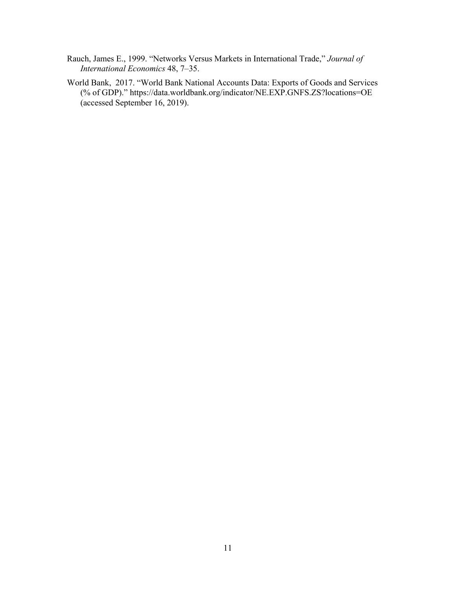- Rauch, James E., 1999. "Networks Versus Markets in International Trade," *Journal of International Economics* 48, 7–35.
- World Bank, 2017. "World Bank National Accounts Data: Exports of Goods and Services (% of GDP)." https://data.worldbank.org/indicator/NE.EXP.GNFS.ZS?locations=OE (accessed September 16, 2019).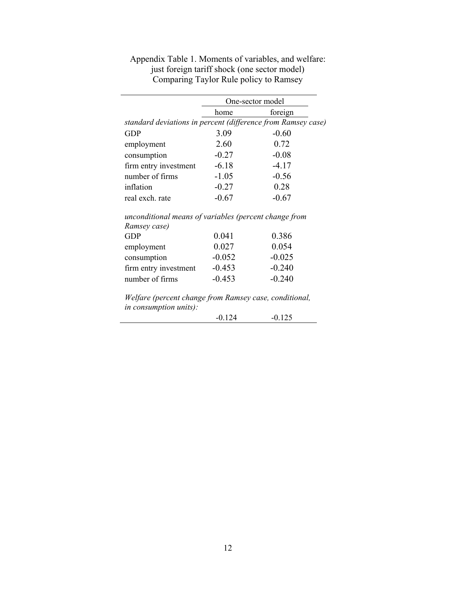|                                                              | One-sector model |          |  |
|--------------------------------------------------------------|------------------|----------|--|
|                                                              | home             | foreign  |  |
| standard deviations in percent (difference from Ramsey case) |                  |          |  |
| <b>GDP</b>                                                   | 3.09             | $-0.60$  |  |
| employment                                                   | 2.60             | 0.72     |  |
| consumption                                                  | $-0.27$          | $-0.08$  |  |
| firm entry investment                                        | $-6.18$          | $-4.17$  |  |
| number of firms                                              | $-1.05$          | $-0.56$  |  |
| inflation                                                    | $-0.27$          | 0.28     |  |
| real exch. rate                                              | $-0.67$          | $-0.67$  |  |
| unconditional means of variables (percent change from        |                  |          |  |
| Ramsey case)                                                 |                  |          |  |
| GDP                                                          | 0.041            | 0.386    |  |
| employment                                                   | 0.027            | 0.054    |  |
| consumption                                                  | $-0.052$         | $-0.025$ |  |
| firm entry investment                                        | $-0.453$         | $-0.240$ |  |
| number of firms                                              | $-0.453$         | $-0.240$ |  |
| Welfare (percent change from Ramsey case, conditional,       |                  |          |  |
| in consumption units):                                       |                  |          |  |
|                                                              | $-0.124$         | $-0.125$ |  |

Appendix Table 1. Moments of variables, and welfare: just foreign tariff shock (one sector model) Comparing Taylor Rule policy to Ramsey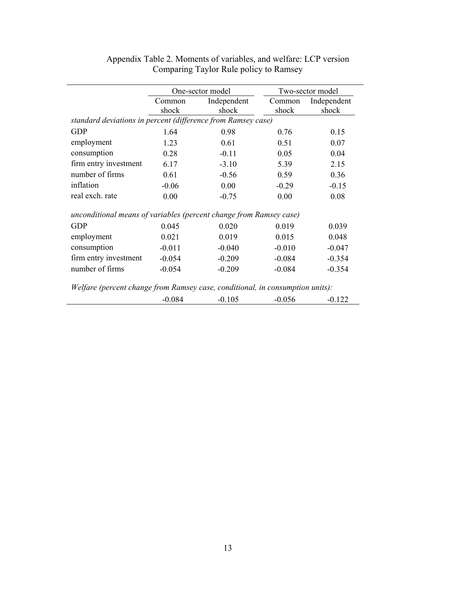|                                                                               |          | One-sector model | Two-sector model |             |  |  |  |  |  |
|-------------------------------------------------------------------------------|----------|------------------|------------------|-------------|--|--|--|--|--|
|                                                                               | Common   | Independent      | Common           | Independent |  |  |  |  |  |
|                                                                               | shock    | shock            | shock            | shock       |  |  |  |  |  |
| standard deviations in percent (difference from Ramsey case)                  |          |                  |                  |             |  |  |  |  |  |
| <b>GDP</b>                                                                    | 1.64     | 0.98             | 0.76             | 0.15        |  |  |  |  |  |
| employment                                                                    | 1.23     | 0.61             | 0.51             | 0.07        |  |  |  |  |  |
| consumption                                                                   | 0.28     | $-0.11$          | 0.05             | 0.04        |  |  |  |  |  |
| firm entry investment                                                         | 6.17     | $-3.10$          | 5.39             | 2.15        |  |  |  |  |  |
| number of firms                                                               | 0.61     | $-0.56$          | 0.59             | 0.36        |  |  |  |  |  |
| inflation                                                                     | $-0.06$  | 0.00             | $-0.29$          | $-0.15$     |  |  |  |  |  |
| real exch. rate                                                               | 0.00     | $-0.75$          | 0.00             | 0.08        |  |  |  |  |  |
| unconditional means of variables (percent change from Ramsey case)            |          |                  |                  |             |  |  |  |  |  |
| <b>GDP</b>                                                                    | 0.045    | 0.020            | 0.019            | 0.039       |  |  |  |  |  |
| employment                                                                    | 0.021    | 0.019            | 0.015            | 0.048       |  |  |  |  |  |
| consumption                                                                   | $-0.011$ | $-0.040$         | $-0.010$         | $-0.047$    |  |  |  |  |  |
| firm entry investment                                                         | $-0.054$ | $-0.209$         | $-0.084$         | $-0.354$    |  |  |  |  |  |
| number of firms                                                               | $-0.054$ | $-0.209$         | $-0.084$         | $-0.354$    |  |  |  |  |  |
| Welfare (percent change from Ramsey case, conditional, in consumption units): |          |                  |                  |             |  |  |  |  |  |
|                                                                               | $-0.084$ | $-0.105$         | $-0.056$         | $-0.122$    |  |  |  |  |  |

| Appendix Table 2. Moments of variables, and welfare: LCP version |
|------------------------------------------------------------------|
| Comparing Taylor Rule policy to Ramsey                           |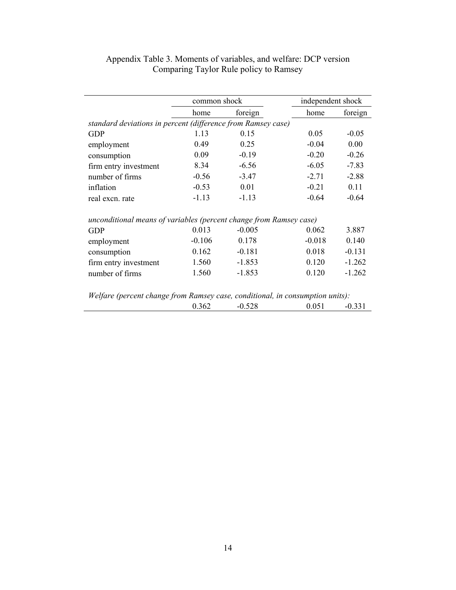|                                                                               |          | common shock |          | independent shock |  |
|-------------------------------------------------------------------------------|----------|--------------|----------|-------------------|--|
|                                                                               | home     | foreign      | home     | foreign           |  |
| standard deviations in percent (difference from Ramsey case)                  |          |              |          |                   |  |
| <b>GDP</b>                                                                    | 1.13     | 0.15         | 0.05     | $-0.05$           |  |
| employment                                                                    | 0.49     | 0.25         | $-0.04$  | 0.00              |  |
| consumption                                                                   | 0.09     | $-0.19$      | $-0.20$  | $-0.26$           |  |
| firm entry investment                                                         | 8.34     | $-6.56$      | $-6.05$  | $-7.83$           |  |
| number of firms                                                               | $-0.56$  | $-3.47$      | $-2.71$  | $-2.88$           |  |
| inflation                                                                     | $-0.53$  | 0.01         | $-0.21$  | 0.11              |  |
| real excn. rate                                                               | $-1.13$  | $-1.13$      | $-0.64$  | $-0.64$           |  |
| unconditional means of variables (percent change from Ramsey case)            |          |              |          |                   |  |
| <b>GDP</b>                                                                    | 0.013    | $-0.005$     | 0.062    | 3.887             |  |
| employment                                                                    | $-0.106$ | 0.178        | $-0.018$ | 0.140             |  |
| consumption                                                                   | 0.162    | $-0.181$     | 0.018    | $-0.131$          |  |
| firm entry investment                                                         | 1.560    | $-1.853$     | 0.120    | $-1.262$          |  |
| number of firms                                                               | 1.560    | $-1.853$     | 0.120    | $-1.262$          |  |
|                                                                               |          |              |          |                   |  |
| Welfare (percent change from Ramsey case, conditional, in consumption units): | 0.362    | $-0.528$     | 0.051    | $-0.331$          |  |

# Appendix Table 3. Moments of variables, and welfare: DCP version Comparing Taylor Rule policy to Ramsey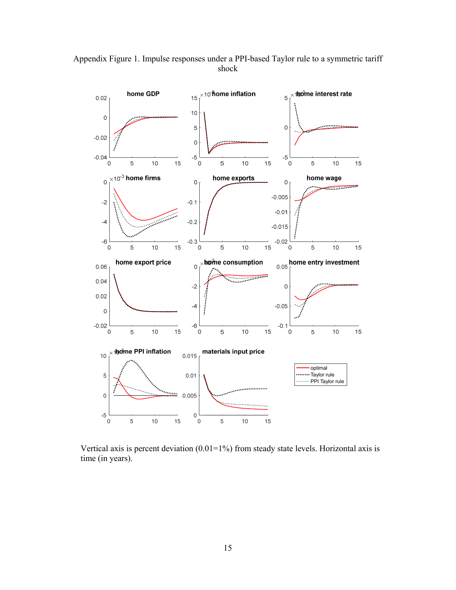



Vertical axis is percent deviation  $(0.01=1\%)$  from steady state levels. Horizontal axis is time (in years).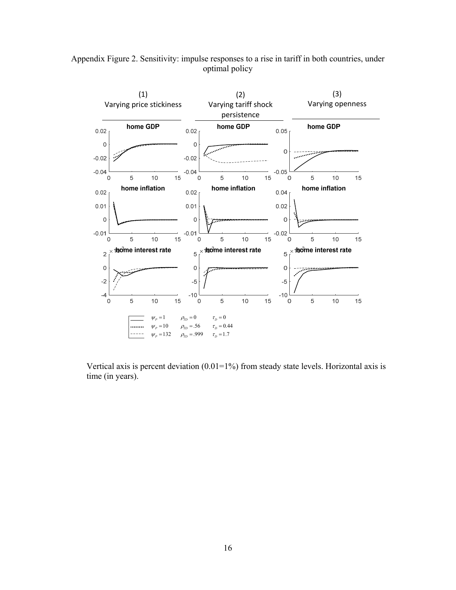

Appendix Figure 2. Sensitivity: impulse responses to a rise in tariff in both countries, under optimal policy

Vertical axis is percent deviation  $(0.01=1\%)$  from steady state levels. Horizontal axis is time (in years).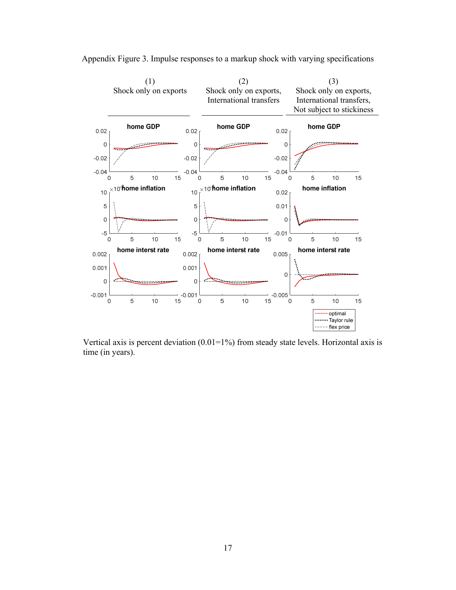

Appendix Figure 3. Impulse responses to a markup shock with varying specifications

Vertical axis is percent deviation  $(0.01=1\%)$  from steady state levels. Horizontal axis is time (in years).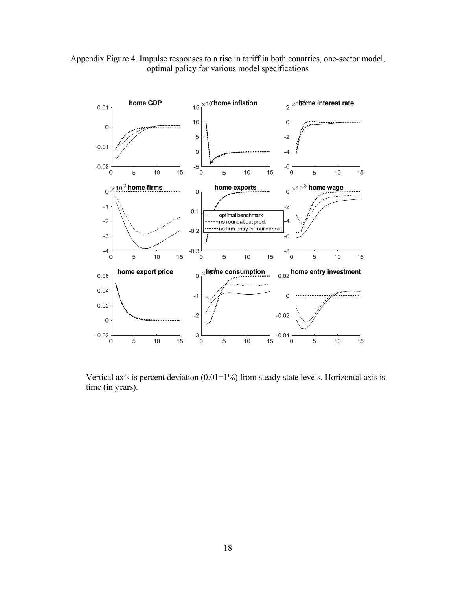



Vertical axis is percent deviation  $(0.01=1\%)$  from steady state levels. Horizontal axis is time (in years).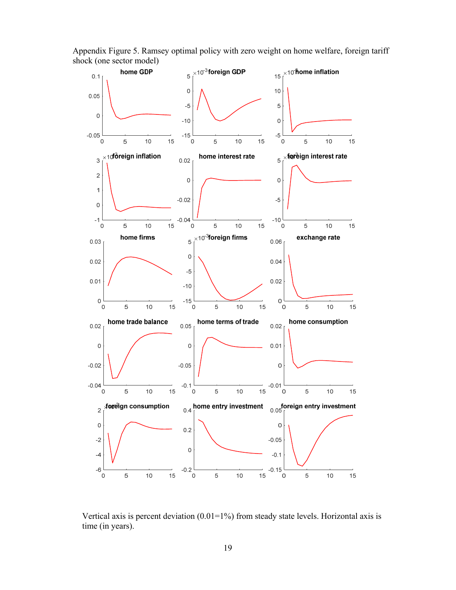

Appendix Figure 5. Ramsey optimal policy with zero weight on home welfare, foreign tariff shock (one sector model)

Vertical axis is percent deviation  $(0.01=1\%)$  from steady state levels. Horizontal axis is time (in years).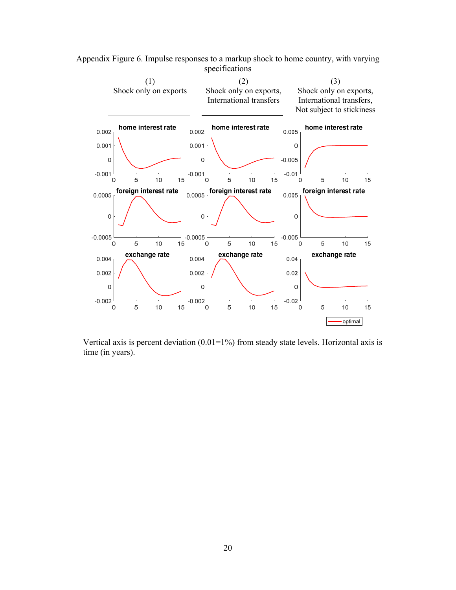

Appendix Figure 6. Impulse responses to a markup shock to home country, with varying specifications

Vertical axis is percent deviation  $(0.01=1\%)$  from steady state levels. Horizontal axis is time (in years).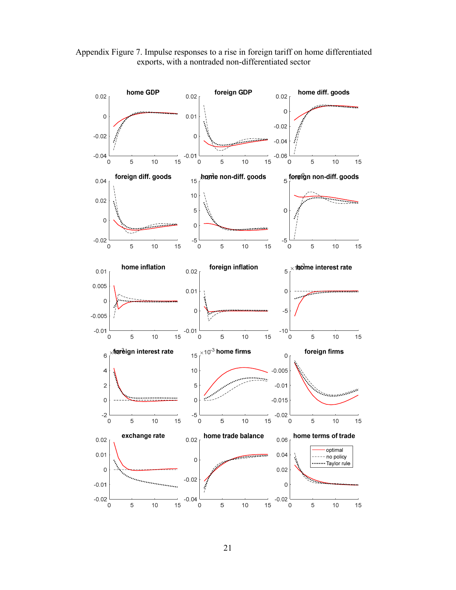

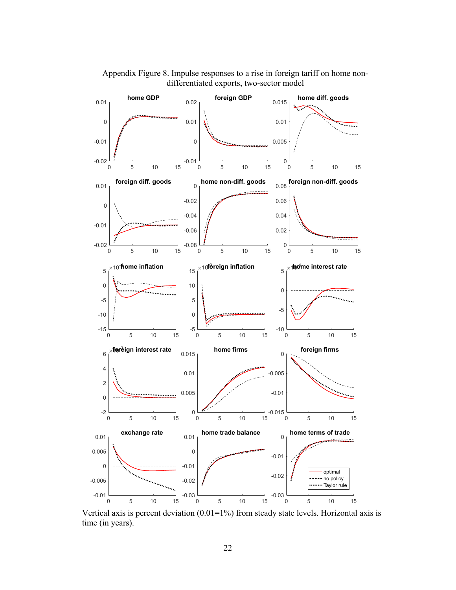

 Appendix Figure 8. Impulse responses to a rise in foreign tariff on home nondifferentiated exports, two-sector model

Vertical axis is percent deviation  $(0.01=1\%)$  from steady state levels. Horizontal axis is time (in years).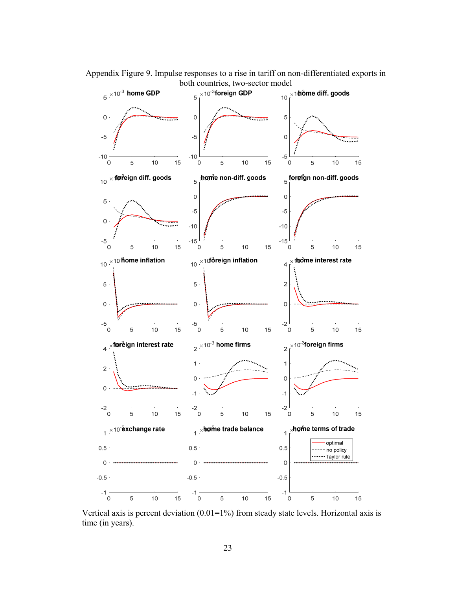Appendix Figure 9. Impulse responses to a rise in tariff on non-differentiated exports in both countries, two-sector model



Vertical axis is percent deviation  $(0.01=1\%)$  from steady state levels. Horizontal axis is time (in years).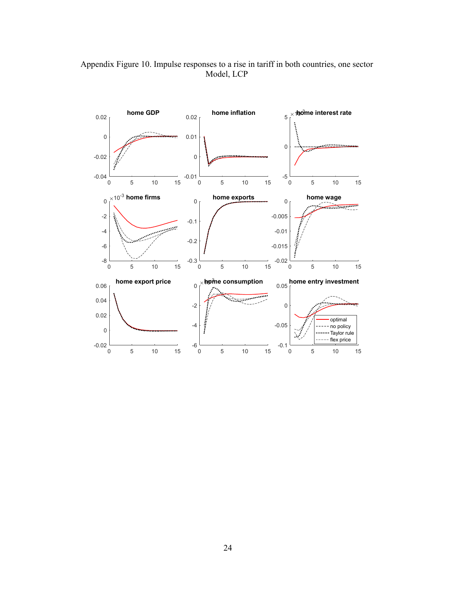

Appendix Figure 10. Impulse responses to a rise in tariff in both countries, one sector Model, LCP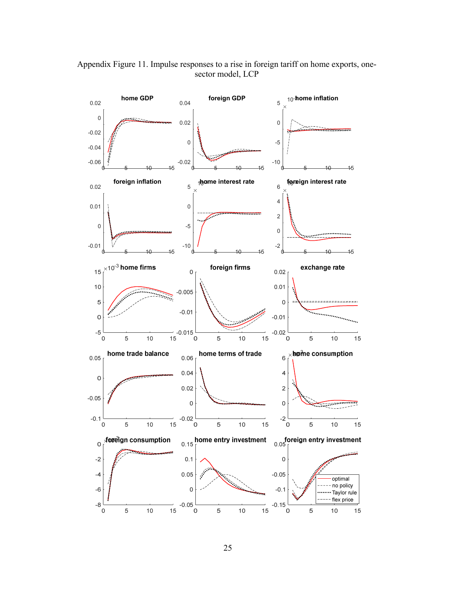

Appendix Figure 11. Impulse responses to a rise in foreign tariff on home exports, onesector model, LCP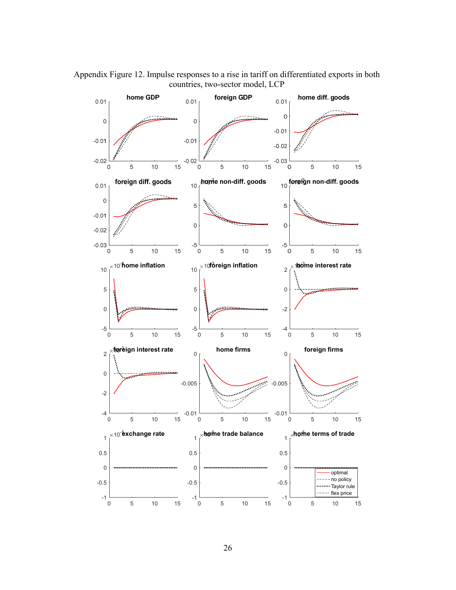Appendix Figure 12. Impulse responses to a rise in tariff on differentiated exports in both countries, two-sector model, LCP

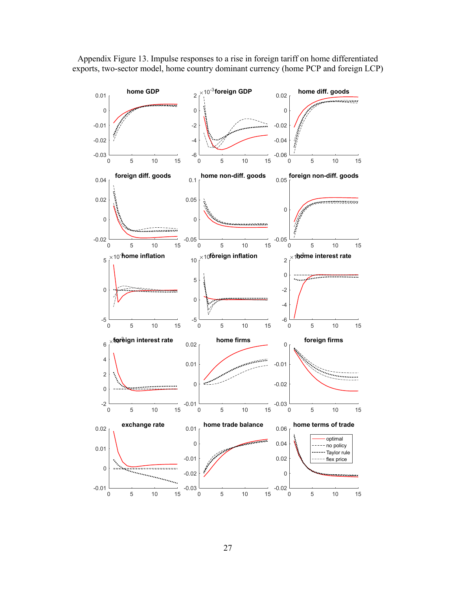

Appendix Figure 13. Impulse responses to a rise in foreign tariff on home differentiated exports, two-sector model, home country dominant currency (home PCP and foreign LCP)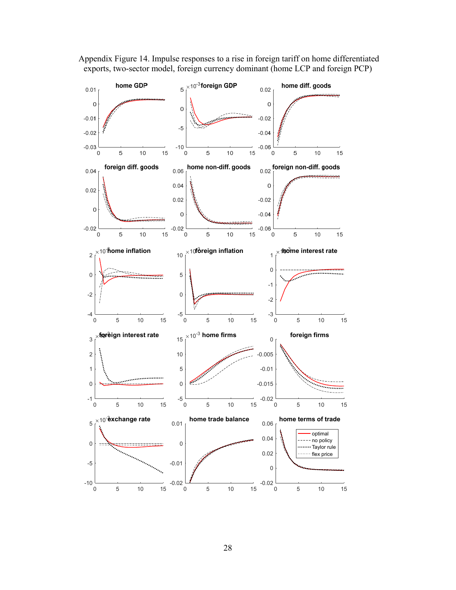

 Appendix Figure 14. Impulse responses to a rise in foreign tariff on home differentiated exports, two-sector model, foreign currency dominant (home LCP and foreign PCP)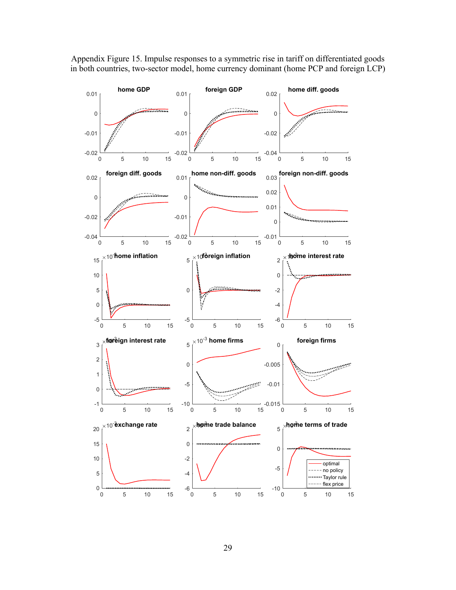

Appendix Figure 15. Impulse responses to a symmetric rise in tariff on differentiated goods in both countries, two-sector model, home currency dominant (home PCP and foreign LCP)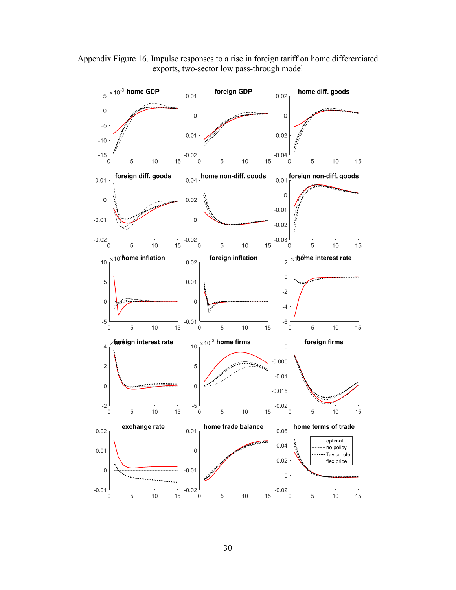

Appendix Figure 16. Impulse responses to a rise in foreign tariff on home differentiated exports, two-sector low pass-through model